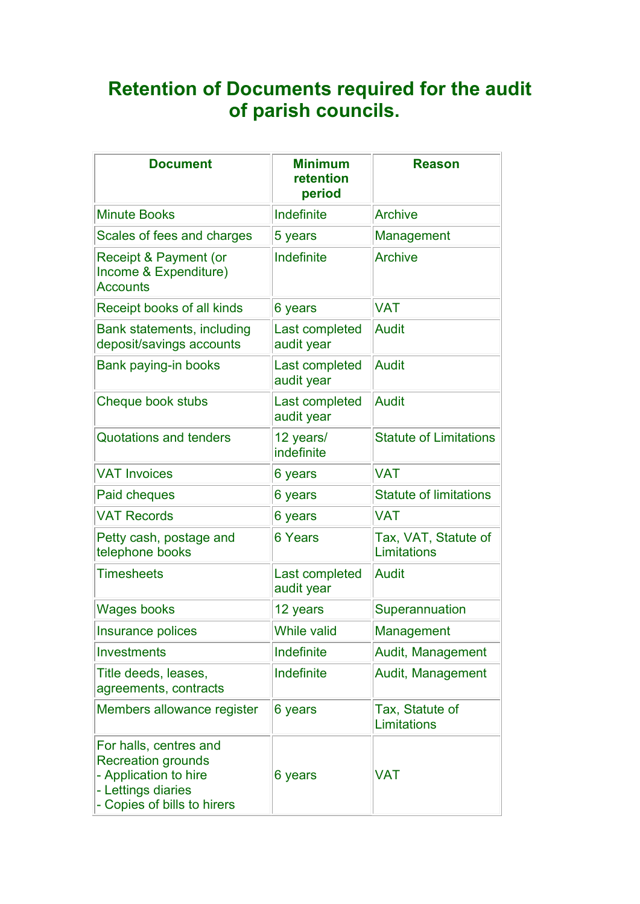## Retention of Documents required for the audit of parish councils.

| <b>Document</b>                                                                                                                   | <b>Minimum</b><br>retention<br>period | <b>Reason</b>                       |
|-----------------------------------------------------------------------------------------------------------------------------------|---------------------------------------|-------------------------------------|
| <b>Minute Books</b>                                                                                                               | Indefinite                            | <b>Archive</b>                      |
| Scales of fees and charges                                                                                                        | 5 years                               | Management                          |
| Receipt & Payment (or<br>Income & Expenditure)<br><b>Accounts</b>                                                                 | Indefinite                            | <b>Archive</b>                      |
| Receipt books of all kinds                                                                                                        | 6 years                               | <b>VAT</b>                          |
| Bank statements, including<br>deposit/savings accounts                                                                            | Last completed<br>audit year          | <b>Audit</b>                        |
| Bank paying-in books                                                                                                              | Last completed<br>audit year          | <b>Audit</b>                        |
| Cheque book stubs                                                                                                                 | Last completed<br>audit year          | <b>Audit</b>                        |
| <b>Quotations and tenders</b>                                                                                                     | 12 years/<br>indefinite               | <b>Statute of Limitations</b>       |
| <b>VAT Invoices</b>                                                                                                               | 6 years                               | <b>VAT</b>                          |
| Paid cheques                                                                                                                      | 6 years                               | <b>Statute of limitations</b>       |
| <b>VAT Records</b>                                                                                                                | 6 years                               | <b>VAT</b>                          |
| Petty cash, postage and<br>telephone books                                                                                        | 6 Years                               | Tax, VAT, Statute of<br>Limitations |
| <b>Timesheets</b>                                                                                                                 | Last completed<br>audit year          | <b>Audit</b>                        |
| <b>Wages books</b>                                                                                                                | 12 years                              | Superannuation                      |
| Insurance polices                                                                                                                 | <b>While valid</b>                    | Management                          |
| <b>Investments</b>                                                                                                                | Indefinite                            | Audit, Management                   |
| Title deeds, leases,<br>agreements, contracts                                                                                     | Indefinite                            | Audit, Management                   |
| Members allowance register                                                                                                        | 6 years                               | Tax, Statute of<br>Limitations      |
| For halls, centres and<br><b>Recreation grounds</b><br>- Application to hire<br>- Lettings diaries<br>- Copies of bills to hirers | 6 years                               | <b>VAT</b>                          |